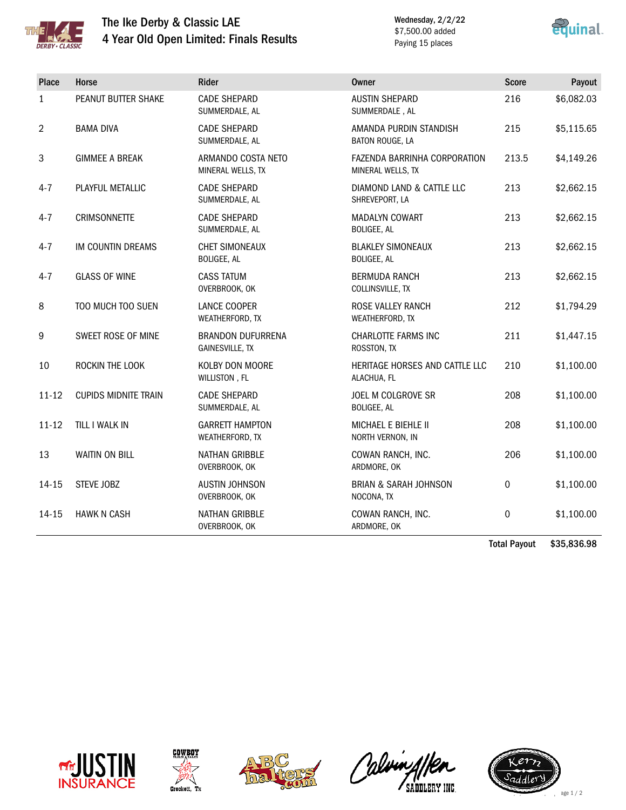

## The Ike Derby & Classic LAE 4 Year Old Open Limited: Finals Results

Wednesday, 2/2/22 \$7,500.00 added Paying 15 places



| Place          | Horse                       | Rider                                              | <b>Owner</b>                                      | <b>Score</b> | Payout     |
|----------------|-----------------------------|----------------------------------------------------|---------------------------------------------------|--------------|------------|
| $\mathbf{1}$   | PEANUT BUTTER SHAKE         | <b>CADE SHEPARD</b><br>SUMMERDALE, AL              | <b>AUSTIN SHEPARD</b><br>SUMMERDALE, AL           | 216          | \$6,082.03 |
| $\overline{2}$ | <b>BAMA DIVA</b>            | <b>CADE SHEPARD</b><br>SUMMERDALE, AL              | AMANDA PURDIN STANDISH<br>BATON ROUGE, LA         | 215          | \$5,115.65 |
| $\mathbf{3}$   | <b>GIMMEE A BREAK</b>       | ARMANDO COSTA NETO<br>MINERAL WELLS, TX            | FAZENDA BARRINHA CORPORATION<br>MINERAL WELLS, TX | 213.5        | \$4,149.26 |
| $4 - 7$        | PLAYFUL METALLIC            | <b>CADE SHEPARD</b><br>SUMMERDALE, AL              | DIAMOND LAND & CATTLE LLC<br>SHREVEPORT, LA       | 213          | \$2,662.15 |
| $4 - 7$        | <b>CRIMSONNETTE</b>         | <b>CADE SHEPARD</b><br>SUMMERDALE, AL              | MADALYN COWART<br><b>BOLIGEE, AL</b>              | 213          | \$2,662.15 |
| $4 - 7$        | IM COUNTIN DREAMS           | <b>CHET SIMONEAUX</b><br>BOLIGEE, AL               | <b>BLAKLEY SIMONEAUX</b><br><b>BOLIGEE, AL</b>    | 213          | \$2,662.15 |
| $4 - 7$        | <b>GLASS OF WINE</b>        | <b>CASS TATUM</b><br>OVERBROOK, OK                 | <b>BERMUDA RANCH</b><br>COLLINSVILLE, TX          | 213          | \$2,662.15 |
| 8              | TOO MUCH TOO SUEN           | <b>LANCE COOPER</b><br>WEATHERFORD, TX             | <b>ROSE VALLEY RANCH</b><br>WEATHERFORD, TX       | 212          | \$1,794.29 |
| 9              | SWEET ROSE OF MINE          | <b>BRANDON DUFURRENA</b><br><b>GAINESVILLE, TX</b> | <b>CHARLOTTE FARMS INC</b><br>ROSSTON, TX         | 211          | \$1,447.15 |
| 10             | ROCKIN THE LOOK             | KOLBY DON MOORE<br>WILLISTON, FL                   | HERITAGE HORSES AND CATTLE LLC<br>ALACHUA, FL     | 210          | \$1,100.00 |
| $11 - 12$      | <b>CUPIDS MIDNITE TRAIN</b> | <b>CADE SHEPARD</b><br>SUMMERDALE, AL              | JOEL M COLGROVE SR<br><b>BOLIGEE, AL</b>          | 208          | \$1,100.00 |
| $11 - 12$      | TILL I WALK IN              | <b>GARRETT HAMPTON</b><br>WEATHERFORD, TX          | MICHAEL E BIEHLE II<br>NORTH VERNON, IN           | 208          | \$1,100.00 |
| 13             | <b>WAITIN ON BILL</b>       | <b>NATHAN GRIBBLE</b><br>OVERBROOK, OK             | COWAN RANCH, INC.<br>ARDMORE, OK                  | 206          | \$1,100.00 |
| 14-15          | STEVE JOBZ                  | <b>AUSTIN JOHNSON</b><br>OVERBROOK, OK             | <b>BRIAN &amp; SARAH JOHNSON</b><br>NOCONA, TX    | 0            | \$1,100.00 |
| 14-15          | <b>HAWK N CASH</b>          | <b>NATHAN GRIBBLE</b><br>OVERBROOK, OK             | COWAN RANCH, INC.<br>ARDMORE, OK                  | 0            | \$1,100.00 |

Total Payout \$35,836.98